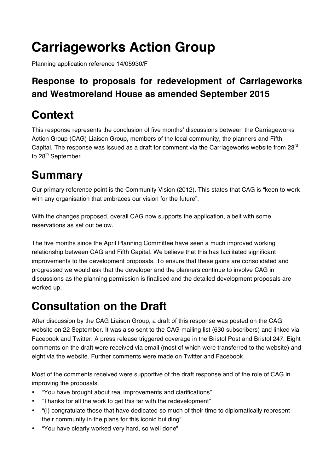# **Carriageworks Action Group**

Planning application reference 14/05930/F

### **Response to proposals for redevelopment of Carriageworks and Westmoreland House as amended September 2015**

## **Context**

This response represents the conclusion of five months' discussions between the Carriageworks Action Group (CAG) Liaison Group, members of the local community, the planners and Fifth Capital. The response was issued as a draft for comment via the Carriageworks website from 23<sup>rd</sup> to 28<sup>th</sup> September.

## **Summary**

Our primary reference point is the Community Vision (2012). This states that CAG is "keen to work with any organisation that embraces our vision for the future".

With the changes proposed, overall CAG now supports the application, albeit with some reservations as set out below.

The five months since the April Planning Committee have seen a much improved working relationship between CAG and Fifth Capital. We believe that this has facilitated significant improvements to the development proposals. To ensure that these gains are consolidated and progressed we would ask that the developer and the planners continue to involve CAG in discussions as the planning permission is finalised and the detailed development proposals are worked up.

## **Consultation on the Draft**

After discussion by the CAG Liaison Group, a draft of this response was posted on the CAG website on 22 September. It was also sent to the CAG mailing list (630 subscribers) and linked via Facebook and Twitter. A press release triggered coverage in the Bristol Post and Bristol 247. Eight comments on the draft were received via email (most of which were transferred to the website) and eight via the website. Further comments were made on Twitter and Facebook.

Most of the comments received were supportive of the draft response and of the role of CAG in improving the proposals.

- "You have brought about real improvements and clarifications"
- "Thanks for all the work to get this far with the redevelopment"
- "(I) congratulate those that have dedicated so much of their time to diplomatically represent their community in the plans for this iconic building"
- "You have clearly worked very hard, so well done"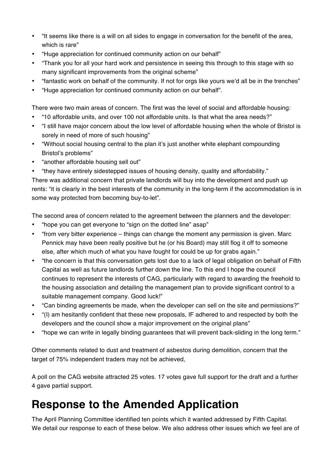- "It seems like there is a will on all sides to engage in conversation for the benefit of the area, which is rare"
- "Huge appreciation for continued community action on our behalf"
- "Thank you for all your hard work and persistence in seeing this through to this stage with so many significant improvements from the original scheme"
- "fantastic work on behalf of the community. If not for orgs like yours we'd all be in the trenches"
- "Huge appreciation for continued community action on our behalf".

There were two main areas of concern. The first was the level of social and affordable housing:

- "10 affordable units, and over 100 not affordable units. Is that what the area needs?"
- "I still have major concern about the low level of affordable housing when the whole of Bristol is sorely in need of more of such housing"
- "Without social housing central to the plan it's just another white elephant compounding Bristol's problems"
- "another affordable housing sell out"
- "they have entirely sidestepped issues of housing density, quality and affordability."

There was additional concern that private landlords will buy into the development and push up rents: "it is clearly in the best interests of the community in the long-term if the accommodation is in some way protected from becoming buy-to-let".

The second area of concern related to the agreement between the planners and the developer:

- "hope you can get everyone to "sign on the dotted line" asap"
- "from very bitter experience things can change the moment any permission is given. Marc Pennick may have been really positive but he (or his Board) may still flog it off to someone else, after which much of what you have fought for could be up for grabs again."
- "the concern is that this conversation gets lost due to a lack of legal obligation on behalf of Fifth Capital as well as future landlords further down the line. To this end I hope the council continues to represent the interests of CAG, particularly with regard to awarding the freehold to the housing association and detailing the management plan to provide significant control to a suitable management company. Good luck!"
- "Can binding agreements be made, when the developer can sell on the site and permissions?"
- "(I) am hesitantly confident that these new proposals, IF adhered to and respected by both the developers and the council show a major improvement on the original plans"
- "hope we can write in legally binding guarantees that will prevent back-sliding in the long term."

Other comments related to dust and treatment of asbestos during demolition, concern that the target of 75% independent traders may not be achieved,

A poll on the CAG website attracted 25 votes. 17 votes gave full support for the draft and a further 4 gave partial support.

## **Response to the Amended Application**

The April Planning Committee identified ten points which it wanted addressed by Fifth Capital. We detail our response to each of these below. We also address other issues which we feel are of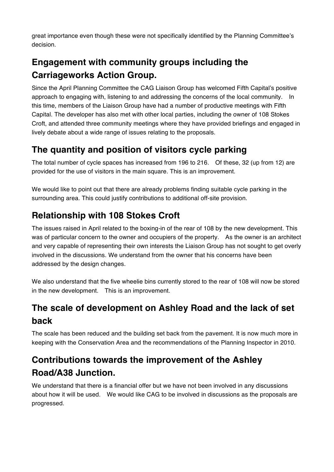great importance even though these were not specifically identified by the Planning Committee's decision.

### **Engagement with community groups including the Carriageworks Action Group.**

Since the April Planning Committee the CAG Liaison Group has welcomed Fifth Capital's positive approach to engaging with, listening to and addressing the concerns of the local community. In this time, members of the Liaison Group have had a number of productive meetings with Fifth Capital. The developer has also met with other local parties, including the owner of 108 Stokes Croft, and attended three community meetings where they have provided briefings and engaged in lively debate about a wide range of issues relating to the proposals.

#### **The quantity and position of visitors cycle parking**

The total number of cycle spaces has increased from 196 to 216. Of these, 32 (up from 12) are provided for the use of visitors in the main square. This is an improvement.

We would like to point out that there are already problems finding suitable cycle parking in the surrounding area. This could justify contributions to additional off-site provision.

#### **Relationship with 108 Stokes Croft**

The issues raised in April related to the boxing-in of the rear of 108 by the new development. This was of particular concern to the owner and occupiers of the property. As the owner is an architect and very capable of representing their own interests the Liaison Group has not sought to get overly involved in the discussions. We understand from the owner that his concerns have been addressed by the design changes.

We also understand that the five wheelie bins currently stored to the rear of 108 will now be stored in the new development. This is an improvement.

### **The scale of development on Ashley Road and the lack of set back**

The scale has been reduced and the building set back from the pavement. It is now much more in keeping with the Conservation Area and the recommendations of the Planning Inspector in 2010.

### **Contributions towards the improvement of the Ashley Road/A38 Junction.**

We understand that there is a financial offer but we have not been involved in any discussions about how it will be used. We would like CAG to be involved in discussions as the proposals are progressed.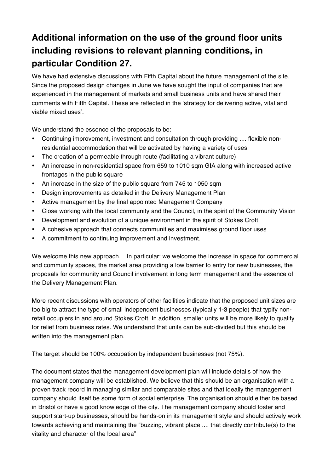### **Additional information on the use of the ground floor units including revisions to relevant planning conditions, in particular Condition 27.**

We have had extensive discussions with Fifth Capital about the future management of the site. Since the proposed design changes in June we have sought the input of companies that are experienced in the management of markets and small business units and have shared their comments with Fifth Capital. These are reflected in the 'strategy for delivering active, vital and viable mixed uses'.

We understand the essence of the proposals to be:

- Continuing improvement, investment and consultation through providing .... flexible nonresidential accommodation that will be activated by having a variety of uses
- The creation of a permeable through route (facilitating a vibrant culture)
- An increase in non-residential space from 659 to 1010 sqm GIA along with increased active frontages in the public square
- An increase in the size of the public square from 745 to 1050 sqm
- Design improvements as detailed in the Delivery Management Plan
- Active management by the final appointed Management Company
- Close working with the local community and the Council, in the spirit of the Community Vision
- Development and evolution of a unique environment in the spirit of Stokes Croft
- A cohesive approach that connects communities and maximises ground floor uses
- A commitment to continuing improvement and investment.

We welcome this new approach. In particular: we welcome the increase in space for commercial and community spaces, the market area providing a low barrier to entry for new businesses, the proposals for community and Council involvement in long term management and the essence of the Delivery Management Plan.

More recent discussions with operators of other facilities indicate that the proposed unit sizes are too big to attract the type of small independent businesses (typically 1-3 people) that typify nonretail occupiers in and around Stokes Croft. In addition, smaller units will be more likely to qualify for relief from business rates. We understand that units can be sub-divided but this should be written into the management plan.

The target should be 100% occupation by independent businesses (not 75%).

The document states that the management development plan will include details of how the management company will be established. We believe that this should be an organisation with a proven track record in managing similar and comparable sites and that ideally the management company should itself be some form of social enterprise. The organisation should either be based in Bristol or have a good knowledge of the city. The management company should foster and support start-up businesses, should be hands-on in its management style and should actively work towards achieving and maintaining the "buzzing, vibrant place .... that directly contribute(s) to the vitality and character of the local area"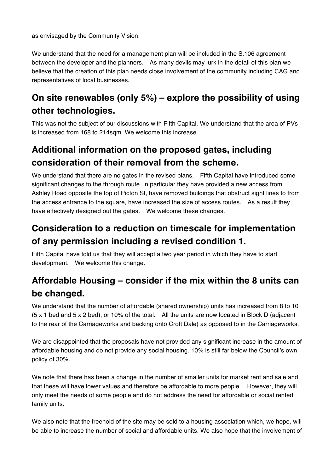as envisaged by the Community Vision.

We understand that the need for a management plan will be included in the S.106 agreement between the developer and the planners. As many devils may lurk in the detail of this plan we believe that the creation of this plan needs close involvement of the community including CAG and representatives of local businesses.

#### **On site renewables (only 5%) – explore the possibility of using other technologies.**

This was not the subject of our discussions with Fifth Capital. We understand that the area of PVs is increased from 168 to 214sqm. We welcome this increase.

#### **Additional information on the proposed gates, including consideration of their removal from the scheme.**

We understand that there are no gates in the revised plans. Fifth Capital have introduced some significant changes to the through route. In particular they have provided a new access from Ashley Road opposite the top of Picton St, have removed buildings that obstruct sight lines to from the access entrance to the square, have increased the size of access routes. As a result they have effectively designed out the gates. We welcome these changes.

#### **Consideration to a reduction on timescale for implementation of any permission including a revised condition 1.**

Fifth Capital have told us that they will accept a two year period in which they have to start development. We welcome this change.

### **Affordable Housing – consider if the mix within the 8 units can be changed.**

We understand that the number of affordable (shared ownership) units has increased from 8 to 10 (5 x 1 bed and 5 x 2 bed), or 10% of the total. All the units are now located in Block D (adjacent to the rear of the Carriageworks and backing onto Croft Dale) as opposed to in the Carriageworks.

We are disappointed that the proposals have not provided any significant increase in the amount of affordable housing and do not provide any social housing. 10% is still far below the Council's own policy of 30%.

We note that there has been a change in the number of smaller units for market rent and sale and that these will have lower values and therefore be affordable to more people. However, they will only meet the needs of some people and do not address the need for affordable or social rented family units.

We also note that the freehold of the site may be sold to a housing association which, we hope, will be able to increase the number of social and affordable units. We also hope that the involvement of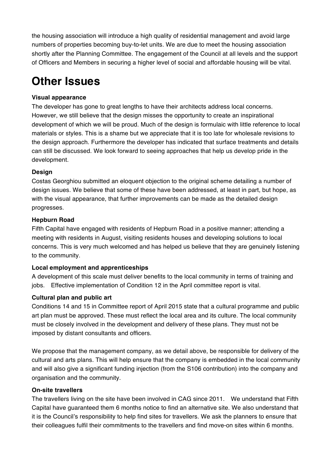the housing association will introduce a high quality of residential management and avoid large numbers of properties becoming buy-to-let units. We are due to meet the housing association shortly after the Planning Committee. The engagement of the Council at all levels and the support of Officers and Members in securing a higher level of social and affordable housing will be vital.

## **Other Issues**

#### **Visual appearance**

The developer has gone to great lengths to have their architects address local concerns. However, we still believe that the design misses the opportunity to create an inspirational development of which we will be proud. Much of the design is formulaic with little reference to local materials or styles. This is a shame but we appreciate that it is too late for wholesale revisions to the design approach. Furthermore the developer has indicated that surface treatments and details can still be discussed. We look forward to seeing approaches that help us develop pride in the development.

#### **Design**

Costas Georghiou submitted an eloquent objection to the original scheme detailing a number of design issues. We believe that some of these have been addressed, at least in part, but hope, as with the visual appearance, that further improvements can be made as the detailed design progresses.

#### **Hepburn Road**

Fifth Capital have engaged with residents of Hepburn Road in a positive manner; attending a meeting with residents in August, visiting residents houses and developing solutions to local concerns. This is very much welcomed and has helped us believe that they are genuinely listening to the community.

#### **Local employment and apprenticeships**

A development of this scale must deliver benefits to the local community in terms of training and jobs. Effective implementation of Condition 12 in the April committee report is vital.

#### **Cultural plan and public art**

Conditions 14 and 15 in Committee report of April 2015 state that a cultural programme and public art plan must be approved. These must reflect the local area and its culture. The local community must be closely involved in the development and delivery of these plans. They must not be imposed by distant consultants and officers.

We propose that the management company, as we detail above, be responsible for delivery of the cultural and arts plans. This will help ensure that the company is embedded in the local community and will also give a significant funding injection (from the S106 contribution) into the company and organisation and the community.

#### **On-site travellers**

The travellers living on the site have been involved in CAG since 2011. We understand that Fifth Capital have guaranteed them 6 months notice to find an alternative site. We also understand that it is the Council's responsibility to help find sites for travellers. We ask the planners to ensure that their colleagues fulfil their commitments to the travellers and find move-on sites within 6 months.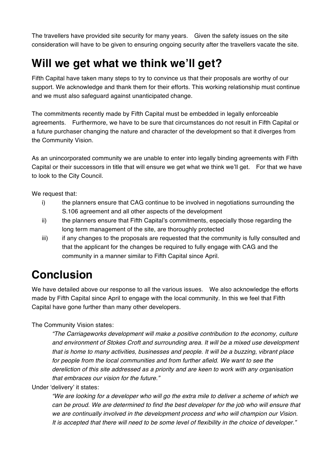The travellers have provided site security for many years. Given the safety issues on the site consideration will have to be given to ensuring ongoing security after the travellers vacate the site.

## **Will we get what we think we'll get?**

Fifth Capital have taken many steps to try to convince us that their proposals are worthy of our support. We acknowledge and thank them for their efforts. This working relationship must continue and we must also safeguard against unanticipated change.

The commitments recently made by Fifth Capital must be embedded in legally enforceable agreements. Furthermore, we have to be sure that circumstances do not result in Fifth Capital or a future purchaser changing the nature and character of the development so that it diverges from the Community Vision.

As an unincorporated community we are unable to enter into legally binding agreements with Fifth Capital or their successors in title that will ensure we get what we think we'll get. For that we have to look to the City Council.

We request that:

- i) the planners ensure that CAG continue to be involved in negotiations surrounding the S.106 agreement and all other aspects of the development
- ii) the planners ensure that Fifth Capital's commitments, especially those regarding the long term management of the site, are thoroughly protected
- iii) if any changes to the proposals are requested that the community is fully consulted and that the applicant for the changes be required to fully engage with CAG and the community in a manner similar to Fifth Capital since April.

## **Conclusion**

We have detailed above our response to all the various issues. We also acknowledge the efforts made by Fifth Capital since April to engage with the local community. In this we feel that Fifth Capital have gone further than many other developers.

The Community Vision states:

*"The Carriageworks development will make a positive contribution to the economy, culture and environment of Stokes Croft and surrounding area. It will be a mixed use development that is home to many activities, businesses and people. It will be a buzzing, vibrant place*  for people from the local communities and from further afield. We want to see the *dereliction of this site addressed as a priority and are keen to work with any organisation that embraces our vision for the future."*

Under 'delivery' it states:

*"We are looking for a developer who will go the extra mile to deliver a scheme of which we can be proud. We are determined to find the best developer for the job who will ensure that we are continually involved in the development process and who will champion our Vision. It is accepted that there will need to be some level of flexibility in the choice of developer."*